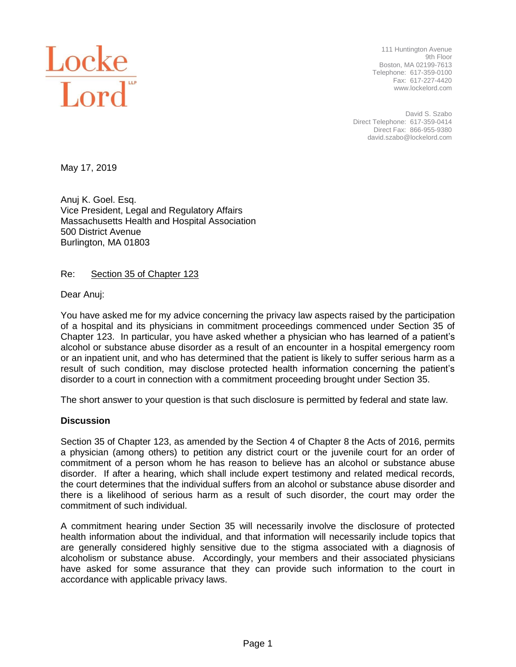

111 Huntington Avenue 9th Floor Boston, MA 02199-7613 Telephone: 617-359-0100 Fax: 617-227-4420 www.lockelord.com

David S. Szabo Direct Telephone: 617-359-0414 Direct Fax: 866-955-9380 david.szabo@lockelord.com

May 17, 2019

Anuj K. Goel. Esq. Vice President, Legal and Regulatory Affairs Massachusetts Health and Hospital Association 500 District Avenue Burlington, MA 01803

Re: Section 35 of Chapter 123

Dear Anuj:

You have asked me for my advice concerning the privacy law aspects raised by the participation of a hospital and its physicians in commitment proceedings commenced under Section 35 of Chapter 123. In particular, you have asked whether a physician who has learned of a patient's alcohol or substance abuse disorder as a result of an encounter in a hospital emergency room or an inpatient unit, and who has determined that the patient is likely to suffer serious harm as a result of such condition, may disclose protected health information concerning the patient's disorder to a court in connection with a commitment proceeding brought under Section 35.

The short answer to your question is that such disclosure is permitted by federal and state law.

## **Discussion**

Section 35 of Chapter 123, as amended by the Section 4 of Chapter 8 the Acts of 2016, permits a physician (among others) to petition any district court or the juvenile court for an order of commitment of a person whom he has reason to believe has an alcohol or substance abuse disorder. If after a hearing, which shall include expert testimony and related medical records, the court determines that the individual suffers from an alcohol or substance abuse disorder and there is a likelihood of serious harm as a result of such disorder, the court may order the commitment of such individual.

A commitment hearing under Section 35 will necessarily involve the disclosure of protected health information about the individual, and that information will necessarily include topics that are generally considered highly sensitive due to the stigma associated with a diagnosis of alcoholism or substance abuse. Accordingly, your members and their associated physicians have asked for some assurance that they can provide such information to the court in accordance with applicable privacy laws.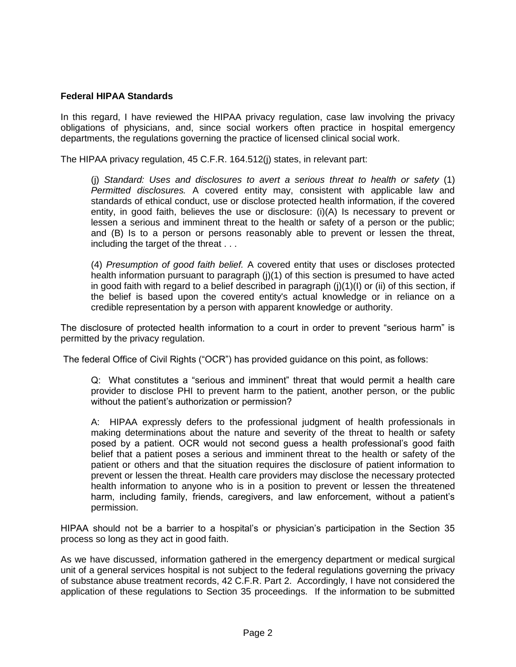## **Federal HIPAA Standards**

In this regard, I have reviewed the HIPAA privacy regulation, case law involving the privacy obligations of physicians, and, since social workers often practice in hospital emergency departments, the regulations governing the practice of licensed clinical social work.

The HIPAA privacy regulation, 45 C.F.R. 164.512(j) states, in relevant part:

(j) *Standard: Uses and disclosures to avert a serious threat to health or safety* (1) *Permitted disclosures.* A covered entity may, consistent with applicable law and standards of ethical conduct, use or disclose protected health information, if the covered entity, in good faith, believes the use or disclosure: (i)(A) Is necessary to prevent or lessen a serious and imminent threat to the health or safety of a person or the public; and (B) Is to a person or persons reasonably able to prevent or lessen the threat, including the target of the threat . . .

(4) *Presumption of good faith belief.* A covered entity that uses or discloses protected health information pursuant to paragraph  $(i)(1)$  of this section is presumed to have acted in good faith with regard to a belief described in paragraph  $(i)(1)(1)$  or  $(ii)$  of this section, if the belief is based upon the covered entity's actual knowledge or in reliance on a credible representation by a person with apparent knowledge or authority.

The disclosure of protected health information to a court in order to prevent "serious harm" is permitted by the privacy regulation.

The federal Office of Civil Rights ("OCR") has provided guidance on this point, as follows:

Q: What constitutes a "serious and imminent" threat that would permit a health care provider to disclose PHI to prevent harm to the patient, another person, or the public without the patient's authorization or permission?

A: HIPAA expressly defers to the professional judgment of health professionals in making determinations about the nature and severity of the threat to health or safety posed by a patient. OCR would not second guess a health professional's good faith belief that a patient poses a serious and imminent threat to the health or safety of the patient or others and that the situation requires the disclosure of patient information to prevent or lessen the threat. Health care providers may disclose the necessary protected health information to anyone who is in a position to prevent or lessen the threatened harm, including family, friends, caregivers, and law enforcement, without a patient's permission.

HIPAA should not be a barrier to a hospital's or physician's participation in the Section 35 process so long as they act in good faith.

As we have discussed, information gathered in the emergency department or medical surgical unit of a general services hospital is not subject to the federal regulations governing the privacy of substance abuse treatment records, 42 C.F.R. Part 2. Accordingly, I have not considered the application of these regulations to Section 35 proceedings. If the information to be submitted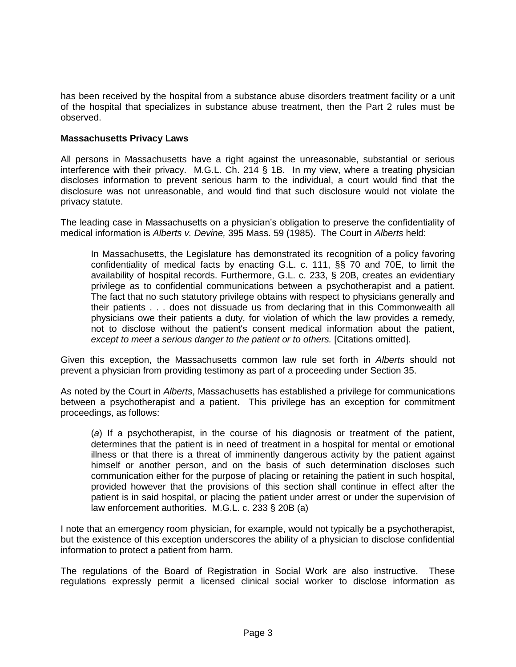has been received by the hospital from a substance abuse disorders treatment facility or a unit of the hospital that specializes in substance abuse treatment, then the Part 2 rules must be observed.

## **Massachusetts Privacy Laws**

All persons in Massachusetts have a right against the unreasonable, substantial or serious interference with their privacy. M.G.L. Ch. 214 § 1B. In my view, where a treating physician discloses information to prevent serious harm to the individual, a court would find that the disclosure was not unreasonable, and would find that such disclosure would not violate the privacy statute.

The leading case in Massachusetts on a physician's obligation to preserve the confidentiality of medical information is *Alberts v. Devine,* 395 Mass. 59 (1985). The Court in *Alberts* held:

In Massachusetts, the Legislature has demonstrated its recognition of a policy favoring confidentiality of medical facts by enacting G.L. c. 111, §§ 70 and 70E, to limit the availability of hospital records. Furthermore, G.L. c. 233, § 20B, creates an evidentiary privilege as to confidential communications between a psychotherapist and a patient. The fact that no such statutory privilege obtains with respect to physicians generally and their patients . . . does not dissuade us from declaring that in this Commonwealth all physicians owe their patients a duty, for violation of which the law provides a remedy, not to disclose without the patient's consent medical information about the patient, *except to meet a serious danger to the patient or to others.* [Citations omitted].

Given this exception, the Massachusetts common law rule set forth in *Alberts* should not prevent a physician from providing testimony as part of a proceeding under Section 35.

As noted by the Court in *Alberts*, Massachusetts has established a privilege for communications between a psychotherapist and a patient. This privilege has an exception for commitment proceedings, as follows:

(*a*) If a psychotherapist, in the course of his diagnosis or treatment of the patient, determines that the patient is in need of treatment in a hospital for mental or emotional illness or that there is a threat of imminently dangerous activity by the patient against himself or another person, and on the basis of such determination discloses such communication either for the purpose of placing or retaining the patient in such hospital, provided however that the provisions of this section shall continue in effect after the patient is in said hospital, or placing the patient under arrest or under the supervision of law enforcement authorities. M.G.L. c. 233 § 20B (a)

I note that an emergency room physician, for example, would not typically be a psychotherapist, but the existence of this exception underscores the ability of a physician to disclose confidential information to protect a patient from harm.

The regulations of the Board of Registration in Social Work are also instructive. These regulations expressly permit a licensed clinical social worker to disclose information as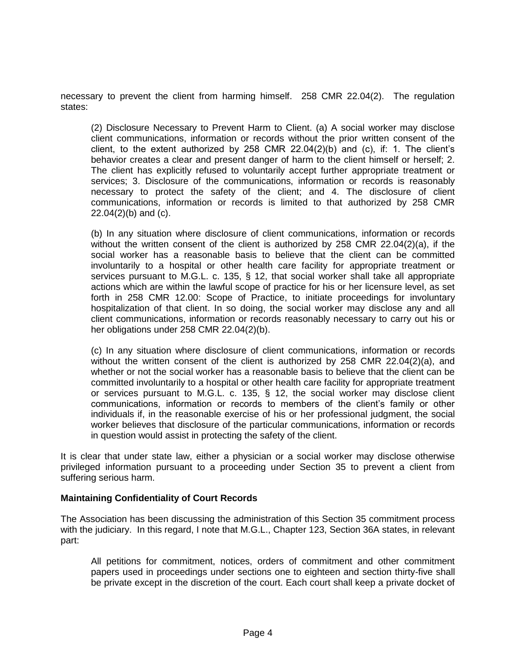necessary to prevent the client from harming himself. 258 CMR 22.04(2). The regulation states:

(2) Disclosure Necessary to Prevent Harm to Client. (a) A social worker may disclose client communications, information or records without the prior written consent of the client, to the extent authorized by 258 CMR  $22.04(2)(b)$  and (c), if: 1. The client's behavior creates a clear and present danger of harm to the client himself or herself; 2. The client has explicitly refused to voluntarily accept further appropriate treatment or services; 3. Disclosure of the communications, information or records is reasonably necessary to protect the safety of the client; and 4. The disclosure of client communications, information or records is limited to that authorized by 258 CMR 22.04(2)(b) and (c).

(b) In any situation where disclosure of client communications, information or records without the written consent of the client is authorized by 258 CMR 22.04(2)(a), if the social worker has a reasonable basis to believe that the client can be committed involuntarily to a hospital or other health care facility for appropriate treatment or services pursuant to M.G.L. c. 135, § 12, that social worker shall take all appropriate actions which are within the lawful scope of practice for his or her licensure level, as set forth in 258 CMR 12.00: Scope of Practice, to initiate proceedings for involuntary hospitalization of that client. In so doing, the social worker may disclose any and all client communications, information or records reasonably necessary to carry out his or her obligations under 258 CMR 22.04(2)(b).

(c) In any situation where disclosure of client communications, information or records without the written consent of the client is authorized by 258 CMR 22.04(2)(a), and whether or not the social worker has a reasonable basis to believe that the client can be committed involuntarily to a hospital or other health care facility for appropriate treatment or services pursuant to M.G.L. c. 135, § 12, the social worker may disclose client communications, information or records to members of the client's family or other individuals if, in the reasonable exercise of his or her professional judgment, the social worker believes that disclosure of the particular communications, information or records in question would assist in protecting the safety of the client.

It is clear that under state law, either a physician or a social worker may disclose otherwise privileged information pursuant to a proceeding under Section 35 to prevent a client from suffering serious harm.

## **Maintaining Confidentiality of Court Records**

The Association has been discussing the administration of this Section 35 commitment process with the judiciary. In this regard, I note that M.G.L., Chapter 123, Section 36A states, in relevant part:

All petitions for commitment, notices, orders of commitment and other commitment papers used in proceedings under sections one to eighteen and section thirty-five shall be private except in the discretion of the court. Each court shall keep a private docket of